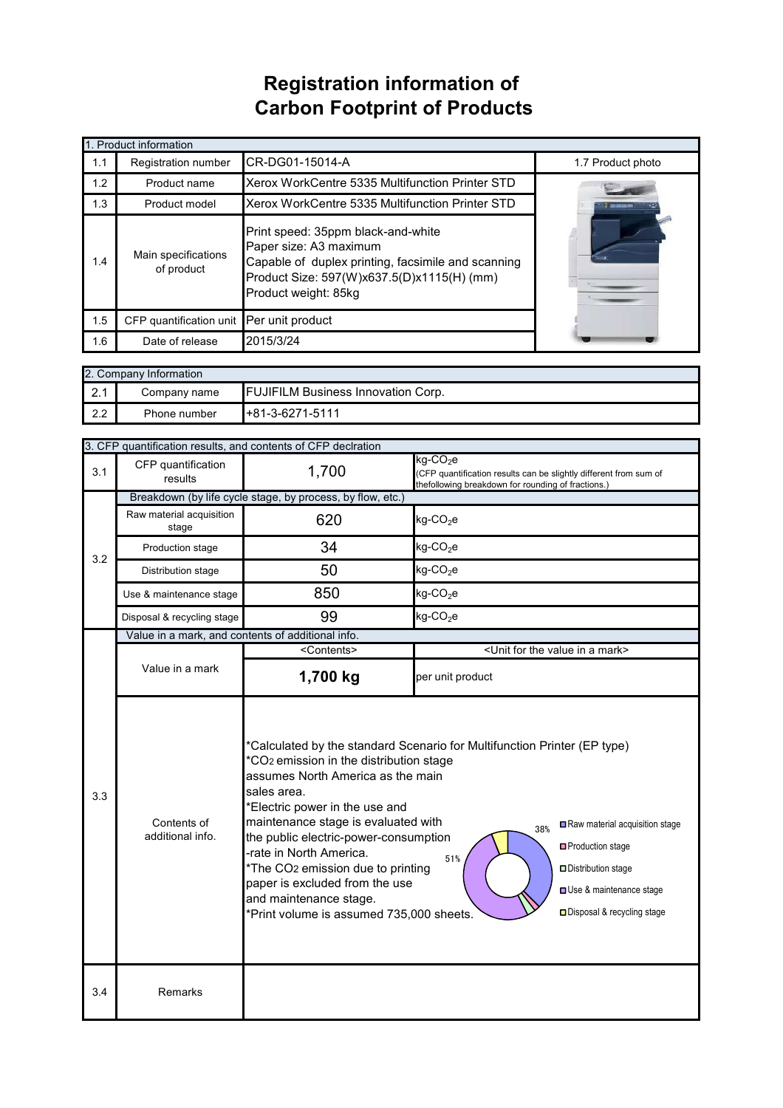## **Registration information of Carbon Footprint of Products**

| 1. Product information |                                                                                                                                                                                                                               |                                                 |                   |  |  |
|------------------------|-------------------------------------------------------------------------------------------------------------------------------------------------------------------------------------------------------------------------------|-------------------------------------------------|-------------------|--|--|
| 1.1                    | <b>Registration number</b>                                                                                                                                                                                                    | CR-DG01-15014-A                                 | 1.7 Product photo |  |  |
| 1.2                    | Product name                                                                                                                                                                                                                  | Xerox WorkCentre 5335 Multifunction Printer STD |                   |  |  |
| 1.3                    | Product model                                                                                                                                                                                                                 | Xerox WorkCentre 5335 Multifunction Printer STD |                   |  |  |
| 1.4                    | Print speed: 35ppm black-and-white<br>Paper size: A3 maximum<br>Main specifications<br>Capable of duplex printing, facsimile and scanning<br>of product<br>Product Size: 597(W)x637.5(D)x1115(H) (mm)<br>Product weight: 85kg |                                                 |                   |  |  |
| 1.5                    | CFP quantification unit Per unit product                                                                                                                                                                                      |                                                 |                   |  |  |
| 1.6                    | Date of release                                                                                                                                                                                                               | 2015/3/24                                       |                   |  |  |

| 2. Company Information   |              |                                           |  |
|--------------------------|--------------|-------------------------------------------|--|
| ົດ 1<br>$\mathsf{Z}$ . I | Company name | <b>FUJIFILM Business Innovation Corp.</b> |  |
| 2.2                      | Phone number | +81-3-6271-5111                           |  |

|                                        | 3. CFP quantification results, and contents of CFP declration |                                                                                                                                                                                                                                                                                                                                                                                                                                                                                                                                                                                                                                      |                                                                                                                                                    |                                                         |  |
|----------------------------------------|---------------------------------------------------------------|--------------------------------------------------------------------------------------------------------------------------------------------------------------------------------------------------------------------------------------------------------------------------------------------------------------------------------------------------------------------------------------------------------------------------------------------------------------------------------------------------------------------------------------------------------------------------------------------------------------------------------------|----------------------------------------------------------------------------------------------------------------------------------------------------|---------------------------------------------------------|--|
| 3.1                                    | CFP quantification<br>results                                 | 1,700                                                                                                                                                                                                                                                                                                                                                                                                                                                                                                                                                                                                                                | $kg$ -CO <sub>2</sub> e<br>(CFP quantification results can be slightly different from sum of<br>thefollowing breakdown for rounding of fractions.) |                                                         |  |
|                                        |                                                               | Breakdown (by life cycle stage, by process, by flow, etc.)                                                                                                                                                                                                                                                                                                                                                                                                                                                                                                                                                                           |                                                                                                                                                    |                                                         |  |
| 3.2                                    | Raw material acquisition<br>stage                             | 620                                                                                                                                                                                                                                                                                                                                                                                                                                                                                                                                                                                                                                  | $kg$ -CO <sub>2</sub> e                                                                                                                            |                                                         |  |
|                                        | Production stage                                              | 34                                                                                                                                                                                                                                                                                                                                                                                                                                                                                                                                                                                                                                   | $kg$ -CO <sub>2</sub> e                                                                                                                            |                                                         |  |
|                                        | Distribution stage                                            | 50                                                                                                                                                                                                                                                                                                                                                                                                                                                                                                                                                                                                                                   | $kg$ -CO <sub>2</sub> e                                                                                                                            |                                                         |  |
|                                        | Use & maintenance stage                                       | 850                                                                                                                                                                                                                                                                                                                                                                                                                                                                                                                                                                                                                                  | $kg$ -CO <sub>2</sub> e                                                                                                                            |                                                         |  |
|                                        | Disposal & recycling stage                                    | 99                                                                                                                                                                                                                                                                                                                                                                                                                                                                                                                                                                                                                                   | $kg$ -CO <sub>2</sub> e                                                                                                                            |                                                         |  |
|                                        | Value in a mark, and contents of additional info.             |                                                                                                                                                                                                                                                                                                                                                                                                                                                                                                                                                                                                                                      |                                                                                                                                                    |                                                         |  |
|                                        |                                                               | <contents></contents>                                                                                                                                                                                                                                                                                                                                                                                                                                                                                                                                                                                                                |                                                                                                                                                    | <unit a="" for="" in="" mark="" the="" value=""></unit> |  |
|                                        | Value in a mark                                               | 1,700 kg                                                                                                                                                                                                                                                                                                                                                                                                                                                                                                                                                                                                                             | per unit product                                                                                                                                   |                                                         |  |
| 3.3<br>Contents of<br>additional info. |                                                               | *Calculated by the standard Scenario for Multifunction Printer (EP type)<br>*CO <sub>2</sub> emission in the distribution stage<br>assumes North America as the main<br>sales area.<br>*Electric power in the use and<br>maintenance stage is evaluated with<br>Raw material acquisition stage<br>38%<br>the public electric-power-consumption<br>□ Production stage<br>-rate in North America.<br>51%<br>*The CO2 emission due to printing<br>Distribution stage<br>paper is excluded from the use<br>Use & maintenance stage<br>and maintenance stage.<br>□ Disposal & recycling stage<br>*Print volume is assumed 735,000 sheets. |                                                                                                                                                    |                                                         |  |
| 3.4                                    | Remarks                                                       |                                                                                                                                                                                                                                                                                                                                                                                                                                                                                                                                                                                                                                      |                                                                                                                                                    |                                                         |  |